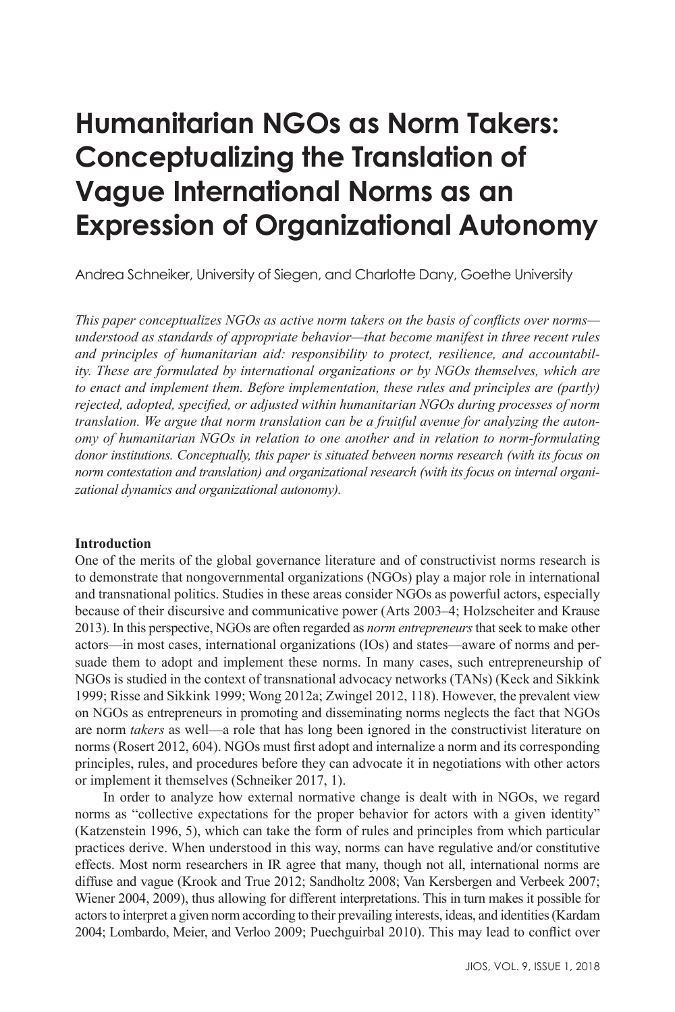# **Humanitarian NGOs as Norm Takers: Conceptualizing the Translation of Vague International Norms as an Expression of Organizational Autonomy**

Andrea Schneiker, University of Siegen, and Charlotte Dany, Goethe University

*This paper conceptualizes NGOs as active norm takers on the basis of conflicts over norms understood as standards of appropriate behavior—that become manifest in three recent rules and principles of humanitarian aid: responsibility to protect, resilience, and accountability. These are formulated by international organizations or by NGOs themselves, which are to enact and implement them. Before implementation, these rules and principles are (partly) rejected, adopted, specified, or adjusted within humanitarian NGOs during processes of norm translation. We argue that norm translation can be a fruitful avenue for analyzing the autonomy of humanitarian NGOs in relation to one another and in relation to norm-formulating donor institutions. Conceptually, this paper is situated between norms research (with its focus on norm contestation and translation) and organizational research (with its focus on internal organizational dynamics and organizational autonomy).* 

#### **Introduction**

One of the merits of the global governance literature and of constructivist norms research is to demonstrate that nongovernmental organizations (NGOs) play a major role in international and transnational politics. Studies in these areas consider NGOs as powerful actors, especially because of their discursive and communicative power (Arts 2003–4; Holzscheiter and Krause 2013). In this perspective, NGOs are often regarded as *norm entrepreneurs* that seek to make other actors—in most cases, international organizations (IOs) and states—aware of norms and persuade them to adopt and implement these norms. In many cases, such entrepreneurship of NGOs is studied in the context of transnational advocacy networks (TANs) (Keck and Sikkink 1999; Risse and Sikkink 1999; Wong 2012a; Zwingel 2012, 118). However, the prevalent view on NGOs as entrepreneurs in promoting and disseminating norms neglects the fact that NGOs are norm *takers* as well—a role that has long been ignored in the constructivist literature on norms (Rosert 2012, 604). NGOs must first adopt and internalize a norm and its corresponding principles, rules, and procedures before they can advocate it in negotiations with other actors or implement it themselves (Schneiker 2017, 1).

In order to analyze how external normative change is dealt with in NGOs, we regard norms as "collective expectations for the proper behavior for actors with a given identity" (Katzenstein 1996, 5), which can take the form of rules and principles from which particular practices derive. When understood in this way, norms can have regulative and/or constitutive effects. Most norm researchers in IR agree that many, though not all, international norms are diffuse and vague (Krook and True 2012; Sandholtz 2008; Van Kersbergen and Verbeek 2007; Wiener 2004, 2009), thus allowing for different interpretations. This in turn makes it possible for actors to interpret a given norm according to their prevailing interests, ideas, and identities (Kardam 2004; Lombardo, Meier, and Verloo 2009; Puechguirbal 2010). This may lead to conflict over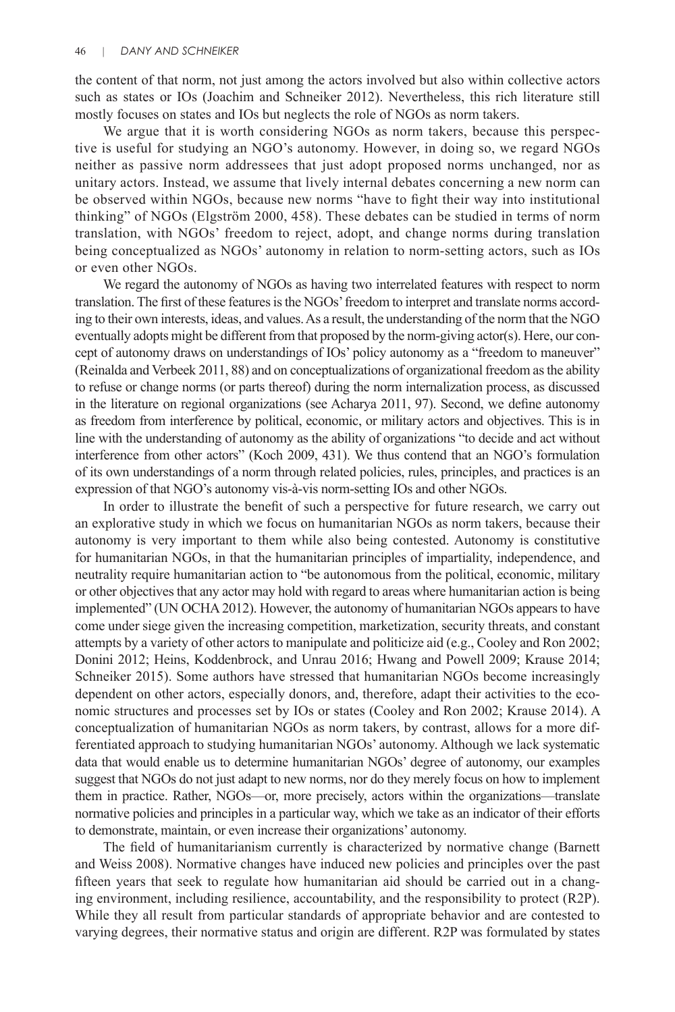the content of that norm, not just among the actors involved but also within collective actors such as states or IOs (Joachim and Schneiker 2012). Nevertheless, this rich literature still mostly focuses on states and IOs but neglects the role of NGOs as norm takers.

We argue that it is worth considering NGOs as norm takers, because this perspective is useful for studying an NGO's autonomy. However, in doing so, we regard NGOs neither as passive norm addressees that just adopt proposed norms unchanged, nor as unitary actors. Instead, we assume that lively internal debates concerning a new norm can be observed within NGOs, because new norms "have to fight their way into institutional thinking" of NGOs (Elgström 2000, 458). These debates can be studied in terms of norm translation, with NGOs' freedom to reject, adopt, and change norms during translation being conceptualized as NGOs' autonomy in relation to norm-setting actors, such as IOs or even other NGOs.

We regard the autonomy of NGOs as having two interrelated features with respect to norm translation. The first of these features is the NGOs' freedom to interpret and translate norms according to their own interests, ideas, and values. As a result, the understanding of the norm that the NGO eventually adopts might be different from that proposed by the norm-giving actor(s). Here, our concept of autonomy draws on understandings of IOs' policy autonomy as a "freedom to maneuver" (Reinalda and Verbeek 2011, 88) and on conceptualizations of organizational freedom as the ability to refuse or change norms (or parts thereof) during the norm internalization process, as discussed in the literature on regional organizations (see Acharya 2011, 97). Second, we define autonomy as freedom from interference by political, economic, or military actors and objectives. This is in line with the understanding of autonomy as the ability of organizations "to decide and act without interference from other actors" (Koch 2009, 431). We thus contend that an NGO's formulation of its own understandings of a norm through related policies, rules, principles, and practices is an expression of that NGO's autonomy vis-à-vis norm-setting IOs and other NGOs.

In order to illustrate the benefit of such a perspective for future research, we carry out an explorative study in which we focus on humanitarian NGOs as norm takers, because their autonomy is very important to them while also being contested. Autonomy is constitutive for humanitarian NGOs, in that the humanitarian principles of impartiality, independence, and neutrality require humanitarian action to "be autonomous from the political, economic, military or other objectives that any actor may hold with regard to areas where humanitarian action is being implemented" (UN OCHA 2012). However, the autonomy of humanitarian NGOs appears to have come under siege given the increasing competition, marketization, security threats, and constant attempts by a variety of other actors to manipulate and politicize aid (e.g., Cooley and Ron 2002; Donini 2012; Heins, Koddenbrock, and Unrau 2016; Hwang and Powell 2009; Krause 2014; Schneiker 2015). Some authors have stressed that humanitarian NGOs become increasingly dependent on other actors, especially donors, and, therefore, adapt their activities to the economic structures and processes set by IOs or states (Cooley and Ron 2002; Krause 2014). A conceptualization of humanitarian NGOs as norm takers, by contrast, allows for a more differentiated approach to studying humanitarian NGOs' autonomy. Although we lack systematic data that would enable us to determine humanitarian NGOs' degree of autonomy, our examples suggest that NGOs do not just adapt to new norms, nor do they merely focus on how to implement them in practice. Rather, NGOs—or, more precisely, actors within the organizations—translate normative policies and principles in a particular way, which we take as an indicator of their efforts to demonstrate, maintain, or even increase their organizations' autonomy.

The field of humanitarianism currently is characterized by normative change (Barnett and Weiss 2008). Normative changes have induced new policies and principles over the past fifteen years that seek to regulate how humanitarian aid should be carried out in a changing environment, including resilience, accountability, and the responsibility to protect (R2P). While they all result from particular standards of appropriate behavior and are contested to varying degrees, their normative status and origin are different. R2P was formulated by states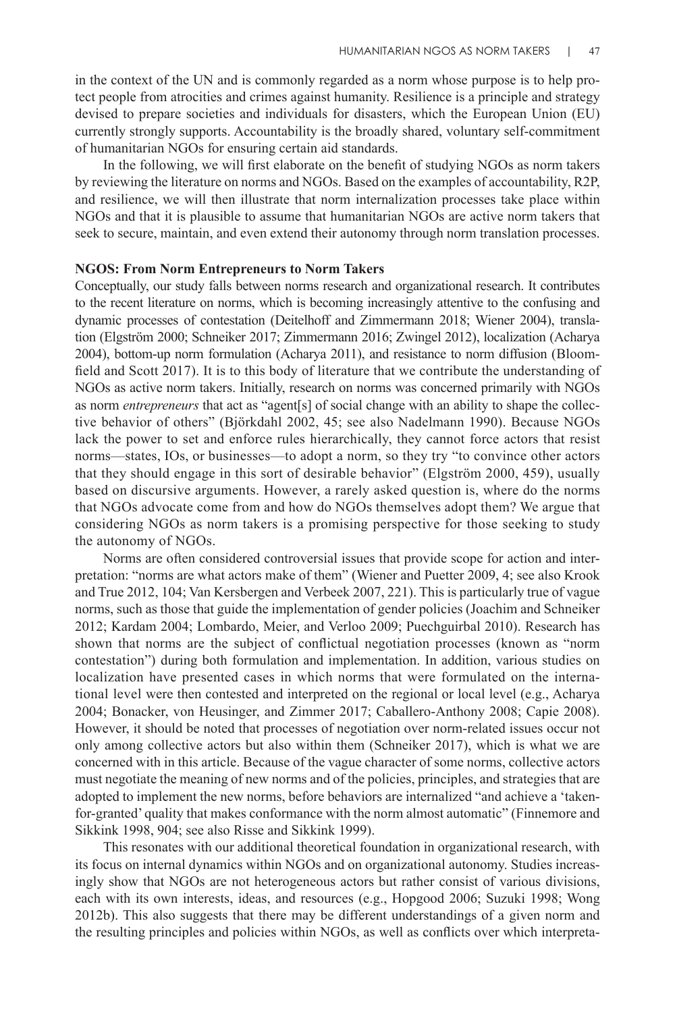in the context of the UN and is commonly regarded as a norm whose purpose is to help protect people from atrocities and crimes against humanity. Resilience is a principle and strategy devised to prepare societies and individuals for disasters, which the European Union (EU) currently strongly supports. Accountability is the broadly shared, voluntary self-commitment of humanitarian NGOs for ensuring certain aid standards.

In the following, we will first elaborate on the benefit of studying NGOs as norm takers by reviewing the literature on norms and NGOs. Based on the examples of accountability, R2P, and resilience, we will then illustrate that norm internalization processes take place within NGOs and that it is plausible to assume that humanitarian NGOs are active norm takers that seek to secure, maintain, and even extend their autonomy through norm translation processes.

#### **NGOS: From Norm Entrepreneurs to Norm Takers**

Conceptually, our study falls between norms research and organizational research. It contributes to the recent literature on norms, which is becoming increasingly attentive to the confusing and dynamic processes of contestation (Deitelhoff and Zimmermann 2018; Wiener 2004), translation (Elgström 2000; Schneiker 2017; Zimmermann 2016; Zwingel 2012), localization (Acharya 2004), bottom-up norm formulation (Acharya 2011), and resistance to norm diffusion (Bloomfield and Scott 2017). It is to this body of literature that we contribute the understanding of NGOs as active norm takers. Initially, research on norms was concerned primarily with NGOs as norm *entrepreneurs* that act as "agent[s] of social change with an ability to shape the collective behavior of others" (Björkdahl 2002, 45; see also Nadelmann 1990). Because NGOs lack the power to set and enforce rules hierarchically, they cannot force actors that resist norms—states, IOs, or businesses—to adopt a norm, so they try "to convince other actors that they should engage in this sort of desirable behavior" (Elgström 2000, 459), usually based on discursive arguments. However, a rarely asked question is, where do the norms that NGOs advocate come from and how do NGOs themselves adopt them? We argue that considering NGOs as norm takers is a promising perspective for those seeking to study the autonomy of NGOs.

Norms are often considered controversial issues that provide scope for action and interpretation: "norms are what actors make of them" (Wiener and Puetter 2009, 4; see also Krook and True 2012, 104; Van Kersbergen and Verbeek 2007, 221). This is particularly true of vague norms, such as those that guide the implementation of gender policies (Joachim and Schneiker 2012; Kardam 2004; Lombardo, Meier, and Verloo 2009; Puechguirbal 2010). Research has shown that norms are the subject of conflictual negotiation processes (known as "norm contestation") during both formulation and implementation. In addition, various studies on localization have presented cases in which norms that were formulated on the international level were then contested and interpreted on the regional or local level (e.g., Acharya 2004; Bonacker, von Heusinger, and Zimmer 2017; Caballero-Anthony 2008; Capie 2008). However, it should be noted that processes of negotiation over norm-related issues occur not only among collective actors but also within them (Schneiker 2017), which is what we are concerned with in this article. Because of the vague character of some norms, collective actors must negotiate the meaning of new norms and of the policies, principles, and strategies that are adopted to implement the new norms, before behaviors are internalized "and achieve a 'takenfor-granted' quality that makes conformance with the norm almost automatic" (Finnemore and Sikkink 1998, 904; see also Risse and Sikkink 1999).

This resonates with our additional theoretical foundation in organizational research, with its focus on internal dynamics within NGOs and on organizational autonomy. Studies increasingly show that NGOs are not heterogeneous actors but rather consist of various divisions, each with its own interests, ideas, and resources (e.g., Hopgood 2006; Suzuki 1998; Wong 2012b). This also suggests that there may be different understandings of a given norm and the resulting principles and policies within NGOs, as well as conflicts over which interpreta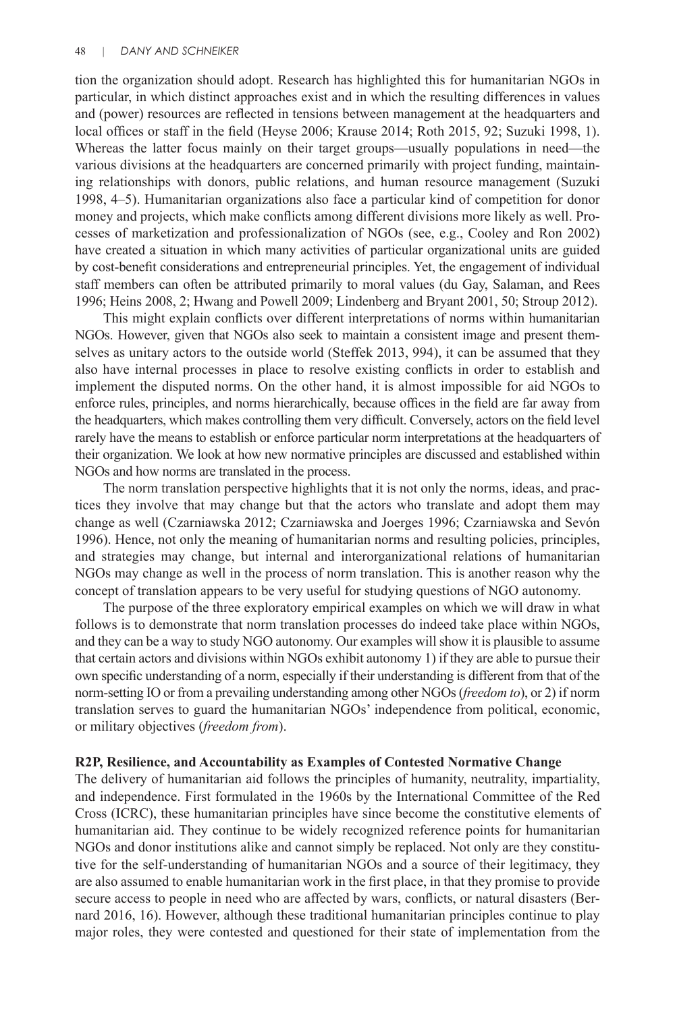tion the organization should adopt. Research has highlighted this for humanitarian NGOs in particular, in which distinct approaches exist and in which the resulting differences in values and (power) resources are reflected in tensions between management at the headquarters and local offices or staff in the field (Heyse 2006; Krause 2014; Roth 2015, 92; Suzuki 1998, 1). Whereas the latter focus mainly on their target groups—usually populations in need—the various divisions at the headquarters are concerned primarily with project funding, maintaining relationships with donors, public relations, and human resource management (Suzuki 1998, 4–5). Humanitarian organizations also face a particular kind of competition for donor money and projects, which make conflicts among different divisions more likely as well. Processes of marketization and professionalization of NGOs (see, e.g., Cooley and Ron 2002) have created a situation in which many activities of particular organizational units are guided by cost-benefit considerations and entrepreneurial principles. Yet, the engagement of individual staff members can often be attributed primarily to moral values (du Gay, Salaman, and Rees 1996; Heins 2008, 2; Hwang and Powell 2009; Lindenberg and Bryant 2001, 50; Stroup 2012).

This might explain conflicts over different interpretations of norms within humanitarian NGOs. However, given that NGOs also seek to maintain a consistent image and present themselves as unitary actors to the outside world (Steffek 2013, 994), it can be assumed that they also have internal processes in place to resolve existing conflicts in order to establish and implement the disputed norms. On the other hand, it is almost impossible for aid NGOs to enforce rules, principles, and norms hierarchically, because offices in the field are far away from the headquarters, which makes controlling them very difficult. Conversely, actors on the field level rarely have the means to establish or enforce particular norm interpretations at the headquarters of their organization. We look at how new normative principles are discussed and established within NGOs and how norms are translated in the process.

The norm translation perspective highlights that it is not only the norms, ideas, and practices they involve that may change but that the actors who translate and adopt them may change as well (Czarniawska 2012; Czarniawska and Joerges 1996; Czarniawska and Sevón 1996). Hence, not only the meaning of humanitarian norms and resulting policies, principles, and strategies may change, but internal and interorganizational relations of humanitarian NGOs may change as well in the process of norm translation. This is another reason why the concept of translation appears to be very useful for studying questions of NGO autonomy.

The purpose of the three exploratory empirical examples on which we will draw in what follows is to demonstrate that norm translation processes do indeed take place within NGOs, and they can be a way to study NGO autonomy. Our examples will show it is plausible to assume that certain actors and divisions within NGOs exhibit autonomy 1) if they are able to pursue their own specific understanding of a norm, especially if their understanding is different from that of the norm-setting IO or from a prevailing understanding among other NGOs (*freedom to*), or 2) if norm translation serves to guard the humanitarian NGOs' independence from political, economic, or military objectives (*freedom from*).

#### **R2P, Resilience, and Accountability as Examples of Contested Normative Change**

The delivery of humanitarian aid follows the principles of humanity, neutrality, impartiality, and independence. First formulated in the 1960s by the International Committee of the Red Cross (ICRC), these humanitarian principles have since become the constitutive elements of humanitarian aid. They continue to be widely recognized reference points for humanitarian NGOs and donor institutions alike and cannot simply be replaced. Not only are they constitutive for the self-understanding of humanitarian NGOs and a source of their legitimacy, they are also assumed to enable humanitarian work in the first place, in that they promise to provide secure access to people in need who are affected by wars, conflicts, or natural disasters (Bernard 2016, 16). However, although these traditional humanitarian principles continue to play major roles, they were contested and questioned for their state of implementation from the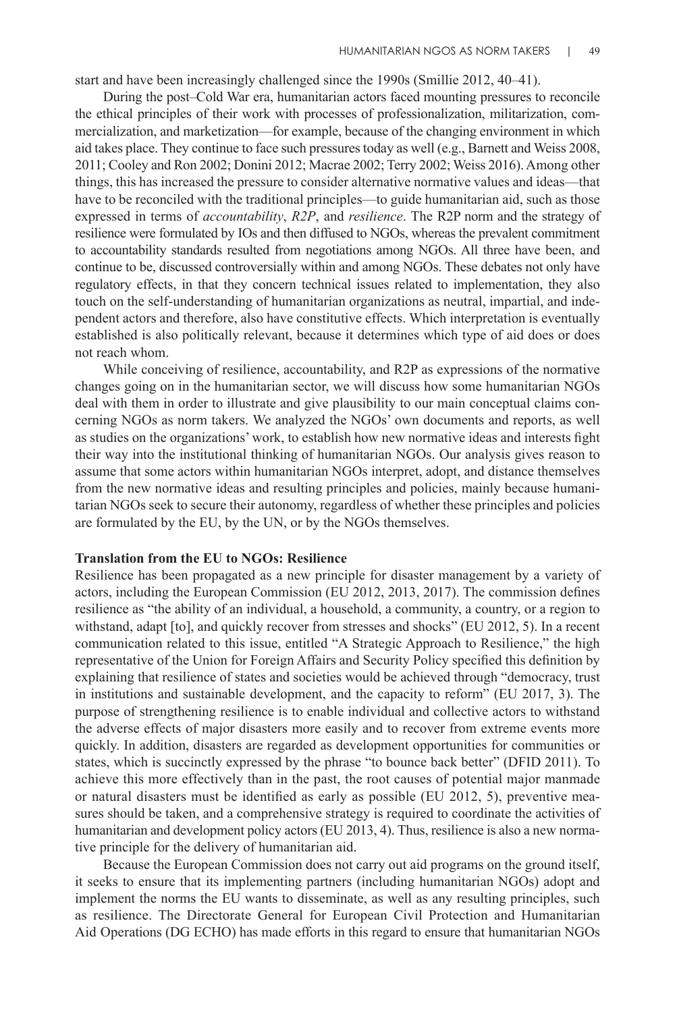start and have been increasingly challenged since the 1990s (Smillie 2012, 40–41).

During the post–Cold War era, humanitarian actors faced mounting pressures to reconcile the ethical principles of their work with processes of professionalization, militarization, commercialization, and marketization—for example, because of the changing environment in which aid takes place. They continue to face such pressures today as well (e.g., Barnett and Weiss 2008, 2011; Cooley and Ron 2002; Donini 2012; Macrae 2002; Terry 2002; Weiss 2016). Among other things, this has increased the pressure to consider alternative normative values and ideas—that have to be reconciled with the traditional principles—to guide humanitarian aid, such as those expressed in terms of *accountability*, *R2P*, and *resilience*. The R2P norm and the strategy of resilience were formulated by IOs and then diffused to NGOs, whereas the prevalent commitment to accountability standards resulted from negotiations among NGOs. All three have been, and continue to be, discussed controversially within and among NGOs. These debates not only have regulatory effects, in that they concern technical issues related to implementation, they also touch on the self-understanding of humanitarian organizations as neutral, impartial, and independent actors and therefore, also have constitutive effects. Which interpretation is eventually established is also politically relevant, because it determines which type of aid does or does not reach whom.

While conceiving of resilience, accountability, and R2P as expressions of the normative changes going on in the humanitarian sector, we will discuss how some humanitarian NGOs deal with them in order to illustrate and give plausibility to our main conceptual claims concerning NGOs as norm takers. We analyzed the NGOs' own documents and reports, as well as studies on the organizations' work, to establish how new normative ideas and interests fight their way into the institutional thinking of humanitarian NGOs. Our analysis gives reason to assume that some actors within humanitarian NGOs interpret, adopt, and distance themselves from the new normative ideas and resulting principles and policies, mainly because humanitarian NGOs seek to secure their autonomy, regardless of whether these principles and policies are formulated by the EU, by the UN, or by the NGOs themselves.

#### **Translation from the EU to NGOs: Resilience**

Resilience has been propagated as a new principle for disaster management by a variety of actors, including the European Commission (EU 2012, 2013, 2017). The commission defines resilience as "the ability of an individual, a household, a community, a country, or a region to withstand, adapt [to], and quickly recover from stresses and shocks" (EU 2012, 5). In a recent communication related to this issue, entitled "A Strategic Approach to Resilience," the high representative of the Union for Foreign Affairs and Security Policy specified this definition by explaining that resilience of states and societies would be achieved through "democracy, trust in institutions and sustainable development, and the capacity to reform" (EU 2017, 3). The purpose of strengthening resilience is to enable individual and collective actors to withstand the adverse effects of major disasters more easily and to recover from extreme events more quickly. In addition, disasters are regarded as development opportunities for communities or states, which is succinctly expressed by the phrase "to bounce back better" (DFID 2011). To achieve this more effectively than in the past, the root causes of potential major manmade or natural disasters must be identified as early as possible (EU 2012, 5), preventive measures should be taken, and a comprehensive strategy is required to coordinate the activities of humanitarian and development policy actors (EU 2013, 4). Thus, resilience is also a new normative principle for the delivery of humanitarian aid.

Because the European Commission does not carry out aid programs on the ground itself, it seeks to ensure that its implementing partners (including humanitarian NGOs) adopt and implement the norms the EU wants to disseminate, as well as any resulting principles, such as resilience. The Directorate General for European Civil Protection and Humanitarian Aid Operations (DG ECHO) has made efforts in this regard to ensure that humanitarian NGOs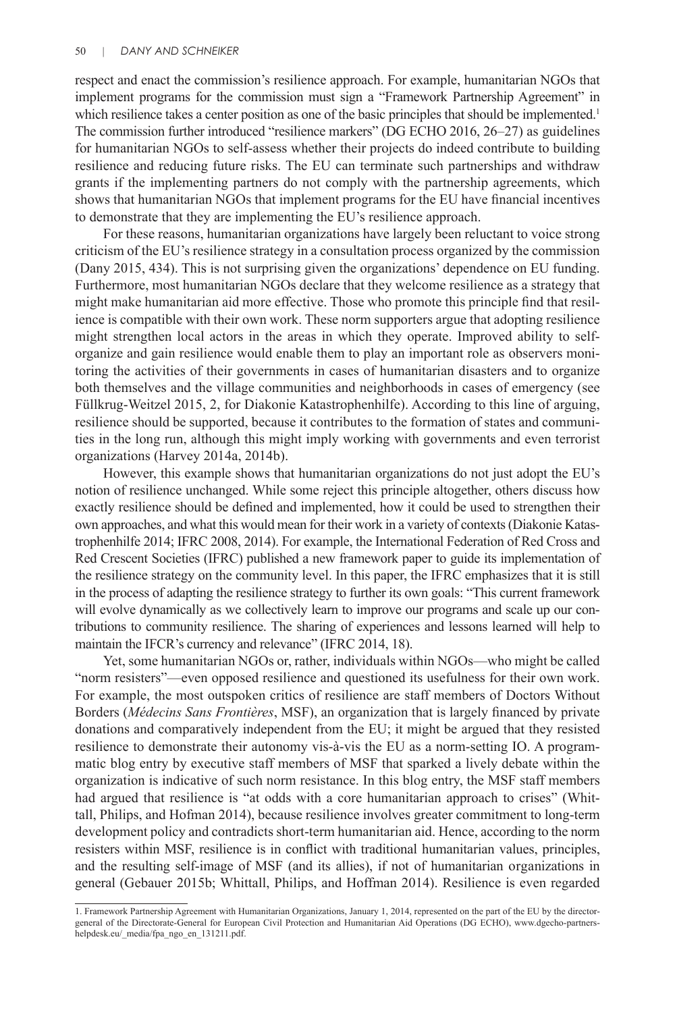respect and enact the commission's resilience approach. For example, humanitarian NGOs that implement programs for the commission must sign a "Framework Partnership Agreement" in which resilience takes a center position as one of the basic principles that should be implemented.<sup>1</sup> The commission further introduced "resilience markers" (DG ECHO 2016, 26–27) as guidelines for humanitarian NGOs to self-assess whether their projects do indeed contribute to building resilience and reducing future risks. The EU can terminate such partnerships and withdraw grants if the implementing partners do not comply with the partnership agreements, which shows that humanitarian NGOs that implement programs for the EU have financial incentives to demonstrate that they are implementing the EU's resilience approach.

For these reasons, humanitarian organizations have largely been reluctant to voice strong criticism of the EU's resilience strategy in a consultation process organized by the commission (Dany 2015, 434). This is not surprising given the organizations' dependence on EU funding. Furthermore, most humanitarian NGOs declare that they welcome resilience as a strategy that might make humanitarian aid more effective. Those who promote this principle find that resilience is compatible with their own work. These norm supporters argue that adopting resilience might strengthen local actors in the areas in which they operate. Improved ability to selforganize and gain resilience would enable them to play an important role as observers monitoring the activities of their governments in cases of humanitarian disasters and to organize both themselves and the village communities and neighborhoods in cases of emergency (see Füllkrug-Weitzel 2015, 2, for Diakonie Katastrophenhilfe). According to this line of arguing, resilience should be supported, because it contributes to the formation of states and communities in the long run, although this might imply working with governments and even terrorist organizations (Harvey 2014a, 2014b).

However, this example shows that humanitarian organizations do not just adopt the EU's notion of resilience unchanged. While some reject this principle altogether, others discuss how exactly resilience should be defined and implemented, how it could be used to strengthen their own approaches, and what this would mean for their work in a variety of contexts (Diakonie Katastrophenhilfe 2014; IFRC 2008, 2014). For example, the International Federation of Red Cross and Red Crescent Societies (IFRC) published a new framework paper to guide its implementation of the resilience strategy on the community level. In this paper, the IFRC emphasizes that it is still in the process of adapting the resilience strategy to further its own goals: "This current framework will evolve dynamically as we collectively learn to improve our programs and scale up our contributions to community resilience. The sharing of experiences and lessons learned will help to maintain the IFCR's currency and relevance" (IFRC 2014, 18).

Yet, some humanitarian NGOs or, rather, individuals within NGOs—who might be called "norm resisters"—even opposed resilience and questioned its usefulness for their own work. For example, the most outspoken critics of resilience are staff members of Doctors Without Borders (*Médecins Sans Frontières*, MSF), an organization that is largely financed by private donations and comparatively independent from the EU; it might be argued that they resisted resilience to demonstrate their autonomy vis-à-vis the EU as a norm-setting IO. A programmatic blog entry by executive staff members of MSF that sparked a lively debate within the organization is indicative of such norm resistance. In this blog entry, the MSF staff members had argued that resilience is "at odds with a core humanitarian approach to crises" (Whittall, Philips, and Hofman 2014), because resilience involves greater commitment to long-term development policy and contradicts short-term humanitarian aid. Hence, according to the norm resisters within MSF, resilience is in conflict with traditional humanitarian values, principles, and the resulting self-image of MSF (and its allies), if not of humanitarian organizations in general (Gebauer 2015b; Whittall, Philips, and Hoffman 2014). Resilience is even regarded

<sup>1.</sup> Framework Partnership Agreement with Humanitarian Organizations, January 1, 2014, represented on the part of the EU by the directorgeneral of the Directorate-General for European Civil Protection and Humanitarian Aid Operations (DG ECHO), www.dgecho-partnershelpdesk.eu/\_media/fpa\_ngo\_en\_131211.pdf.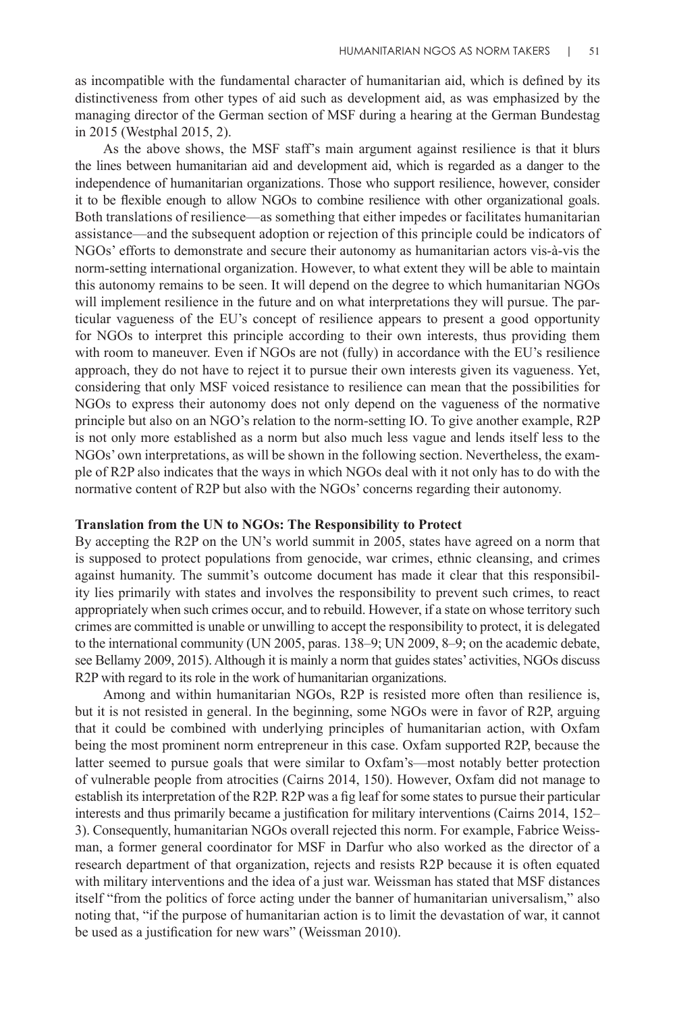as incompatible with the fundamental character of humanitarian aid, which is defined by its distinctiveness from other types of aid such as development aid, as was emphasized by the managing director of the German section of MSF during a hearing at the German Bundestag in 2015 (Westphal 2015, 2).

As the above shows, the MSF staff's main argument against resilience is that it blurs the lines between humanitarian aid and development aid, which is regarded as a danger to the independence of humanitarian organizations. Those who support resilience, however, consider it to be flexible enough to allow NGOs to combine resilience with other organizational goals. Both translations of resilience—as something that either impedes or facilitates humanitarian assistance—and the subsequent adoption or rejection of this principle could be indicators of NGOs' efforts to demonstrate and secure their autonomy as humanitarian actors vis-à-vis the norm-setting international organization. However, to what extent they will be able to maintain this autonomy remains to be seen. It will depend on the degree to which humanitarian NGOs will implement resilience in the future and on what interpretations they will pursue. The particular vagueness of the EU's concept of resilience appears to present a good opportunity for NGOs to interpret this principle according to their own interests, thus providing them with room to maneuver. Even if NGOs are not (fully) in accordance with the EU's resilience approach, they do not have to reject it to pursue their own interests given its vagueness. Yet, considering that only MSF voiced resistance to resilience can mean that the possibilities for NGOs to express their autonomy does not only depend on the vagueness of the normative principle but also on an NGO's relation to the norm-setting IO. To give another example, R2P is not only more established as a norm but also much less vague and lends itself less to the NGOs' own interpretations, as will be shown in the following section. Nevertheless, the example of R2P also indicates that the ways in which NGOs deal with it not only has to do with the normative content of R2P but also with the NGOs' concerns regarding their autonomy.

## **Translation from the UN to NGOs: The Responsibility to Protect**

By accepting the R2P on the UN's world summit in 2005, states have agreed on a norm that is supposed to protect populations from genocide, war crimes, ethnic cleansing, and crimes against humanity. The summit's outcome document has made it clear that this responsibility lies primarily with states and involves the responsibility to prevent such crimes, to react appropriately when such crimes occur, and to rebuild. However, if a state on whose territory such crimes are committed is unable or unwilling to accept the responsibility to protect, it is delegated to the international community (UN 2005, paras. 138–9; UN 2009, 8–9; on the academic debate, see Bellamy 2009, 2015). Although it is mainly a norm that guides states' activities, NGOs discuss R2P with regard to its role in the work of humanitarian organizations.

Among and within humanitarian NGOs, R2P is resisted more often than resilience is, but it is not resisted in general. In the beginning, some NGOs were in favor of R2P, arguing that it could be combined with underlying principles of humanitarian action, with Oxfam being the most prominent norm entrepreneur in this case. Oxfam supported R2P, because the latter seemed to pursue goals that were similar to Oxfam's—most notably better protection of vulnerable people from atrocities (Cairns 2014, 150). However, Oxfam did not manage to establish its interpretation of the R2P. R2P was a fig leaf for some states to pursue their particular interests and thus primarily became a justification for military interventions (Cairns 2014, 152– 3). Consequently, humanitarian NGOs overall rejected this norm. For example, Fabrice Weissman, a former general coordinator for MSF in Darfur who also worked as the director of a research department of that organization, rejects and resists R2P because it is often equated with military interventions and the idea of a just war. Weissman has stated that MSF distances itself "from the politics of force acting under the banner of humanitarian universalism," also noting that, "if the purpose of humanitarian action is to limit the devastation of war, it cannot be used as a justification for new wars" (Weissman 2010).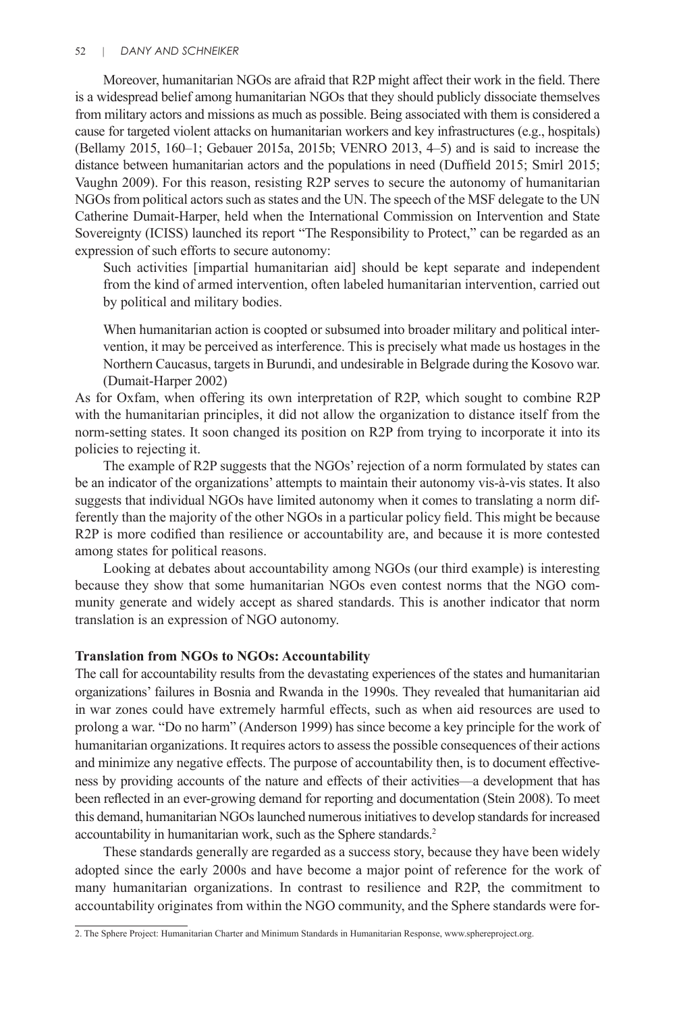Moreover, humanitarian NGOs are afraid that R2P might affect their work in the field. There is a widespread belief among humanitarian NGOs that they should publicly dissociate themselves from military actors and missions as much as possible. Being associated with them is considered a cause for targeted violent attacks on humanitarian workers and key infrastructures (e.g., hospitals) (Bellamy 2015, 160–1; Gebauer 2015a, 2015b; VENRO 2013, 4–5) and is said to increase the distance between humanitarian actors and the populations in need (Duffield 2015; Smirl 2015; Vaughn 2009). For this reason, resisting R2P serves to secure the autonomy of humanitarian NGOs from political actors such as states and the UN. The speech of the MSF delegate to the UN Catherine Dumait-Harper, held when the International Commission on Intervention and State Sovereignty (ICISS) launched its report "The Responsibility to Protect," can be regarded as an expression of such efforts to secure autonomy:

Such activities [impartial humanitarian aid] should be kept separate and independent from the kind of armed intervention, often labeled humanitarian intervention, carried out by political and military bodies.

When humanitarian action is coopted or subsumed into broader military and political intervention, it may be perceived as interference. This is precisely what made us hostages in the Northern Caucasus, targets in Burundi, and undesirable in Belgrade during the Kosovo war. (Dumait-Harper 2002)

As for Oxfam, when offering its own interpretation of R2P, which sought to combine R2P with the humanitarian principles, it did not allow the organization to distance itself from the norm-setting states. It soon changed its position on R2P from trying to incorporate it into its policies to rejecting it.

The example of R2P suggests that the NGOs' rejection of a norm formulated by states can be an indicator of the organizations' attempts to maintain their autonomy vis-à-vis states. It also suggests that individual NGOs have limited autonomy when it comes to translating a norm differently than the majority of the other NGOs in a particular policy field. This might be because R2P is more codified than resilience or accountability are, and because it is more contested among states for political reasons.

Looking at debates about accountability among NGOs (our third example) is interesting because they show that some humanitarian NGOs even contest norms that the NGO community generate and widely accept as shared standards. This is another indicator that norm translation is an expression of NGO autonomy.

## **Translation from NGOs to NGOs: Accountability**

The call for accountability results from the devastating experiences of the states and humanitarian organizations' failures in Bosnia and Rwanda in the 1990s. They revealed that humanitarian aid in war zones could have extremely harmful effects, such as when aid resources are used to prolong a war. "Do no harm" (Anderson 1999) has since become a key principle for the work of humanitarian organizations. It requires actors to assess the possible consequences of their actions and minimize any negative effects. The purpose of accountability then, is to document effectiveness by providing accounts of the nature and effects of their activities—a development that has been reflected in an ever-growing demand for reporting and documentation (Stein 2008). To meet this demand, humanitarian NGOs launched numerous initiatives to develop standards for increased accountability in humanitarian work, such as the Sphere standards.<sup>2</sup>

These standards generally are regarded as a success story, because they have been widely adopted since the early 2000s and have become a major point of reference for the work of many humanitarian organizations. In contrast to resilience and R2P, the commitment to accountability originates from within the NGO community, and the Sphere standards were for-

<sup>2.</sup> The Sphere Project: Humanitarian Charter and Minimum Standards in Humanitarian Response, www.sphereproject.org.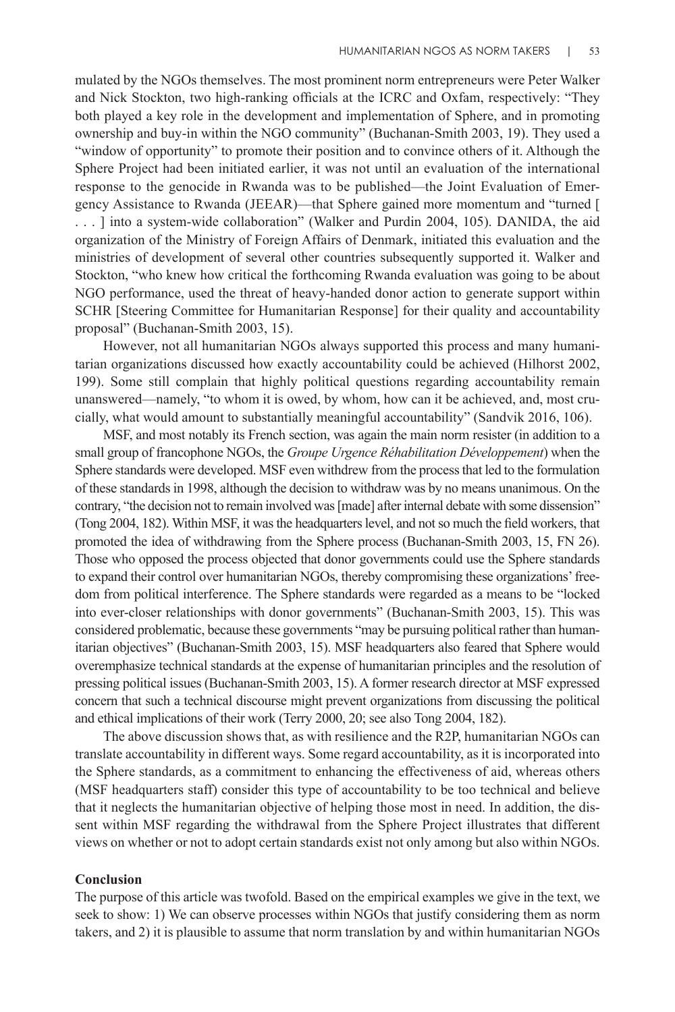mulated by the NGOs themselves. The most prominent norm entrepreneurs were Peter Walker and Nick Stockton, two high-ranking officials at the ICRC and Oxfam, respectively: "They both played a key role in the development and implementation of Sphere, and in promoting ownership and buy-in within the NGO community" (Buchanan-Smith 2003, 19). They used a "window of opportunity" to promote their position and to convince others of it. Although the Sphere Project had been initiated earlier, it was not until an evaluation of the international response to the genocide in Rwanda was to be published—the Joint Evaluation of Emergency Assistance to Rwanda (JEEAR)—that Sphere gained more momentum and "turned [ . . . ] into a system-wide collaboration" (Walker and Purdin 2004, 105). DANIDA, the aid organization of the Ministry of Foreign Affairs of Denmark, initiated this evaluation and the ministries of development of several other countries subsequently supported it. Walker and Stockton, "who knew how critical the forthcoming Rwanda evaluation was going to be about NGO performance, used the threat of heavy-handed donor action to generate support within SCHR [Steering Committee for Humanitarian Response] for their quality and accountability proposal" (Buchanan-Smith 2003, 15).

However, not all humanitarian NGOs always supported this process and many humanitarian organizations discussed how exactly accountability could be achieved (Hilhorst 2002, 199). Some still complain that highly political questions regarding accountability remain unanswered—namely, "to whom it is owed, by whom, how can it be achieved, and, most crucially, what would amount to substantially meaningful accountability" (Sandvik 2016, 106).

MSF, and most notably its French section, was again the main norm resister (in addition to a small group of francophone NGOs, the *Groupe Urgence Réhabilitation Développement*) when the Sphere standards were developed. MSF even withdrew from the process that led to the formulation of these standards in 1998, although the decision to withdraw was by no means unanimous. On the contrary, "the decision not to remain involved was [made] after internal debate with some dissension" (Tong 2004, 182). Within MSF, it was the headquarters level, and not so much the field workers, that promoted the idea of withdrawing from the Sphere process (Buchanan-Smith 2003, 15, FN 26). Those who opposed the process objected that donor governments could use the Sphere standards to expand their control over humanitarian NGOs, thereby compromising these organizations' freedom from political interference. The Sphere standards were regarded as a means to be "locked into ever-closer relationships with donor governments" (Buchanan-Smith 2003, 15). This was considered problematic, because these governments "may be pursuing political rather than humanitarian objectives" (Buchanan-Smith 2003, 15). MSF headquarters also feared that Sphere would overemphasize technical standards at the expense of humanitarian principles and the resolution of pressing political issues (Buchanan-Smith 2003, 15). A former research director at MSF expressed concern that such a technical discourse might prevent organizations from discussing the political and ethical implications of their work (Terry 2000, 20; see also Tong 2004, 182).

The above discussion shows that, as with resilience and the R2P, humanitarian NGOs can translate accountability in different ways. Some regard accountability, as it is incorporated into the Sphere standards, as a commitment to enhancing the effectiveness of aid, whereas others (MSF headquarters staff) consider this type of accountability to be too technical and believe that it neglects the humanitarian objective of helping those most in need. In addition, the dissent within MSF regarding the withdrawal from the Sphere Project illustrates that different views on whether or not to adopt certain standards exist not only among but also within NGOs.

## **Conclusion**

The purpose of this article was twofold. Based on the empirical examples we give in the text, we seek to show: 1) We can observe processes within NGOs that justify considering them as norm takers, and 2) it is plausible to assume that norm translation by and within humanitarian NGOs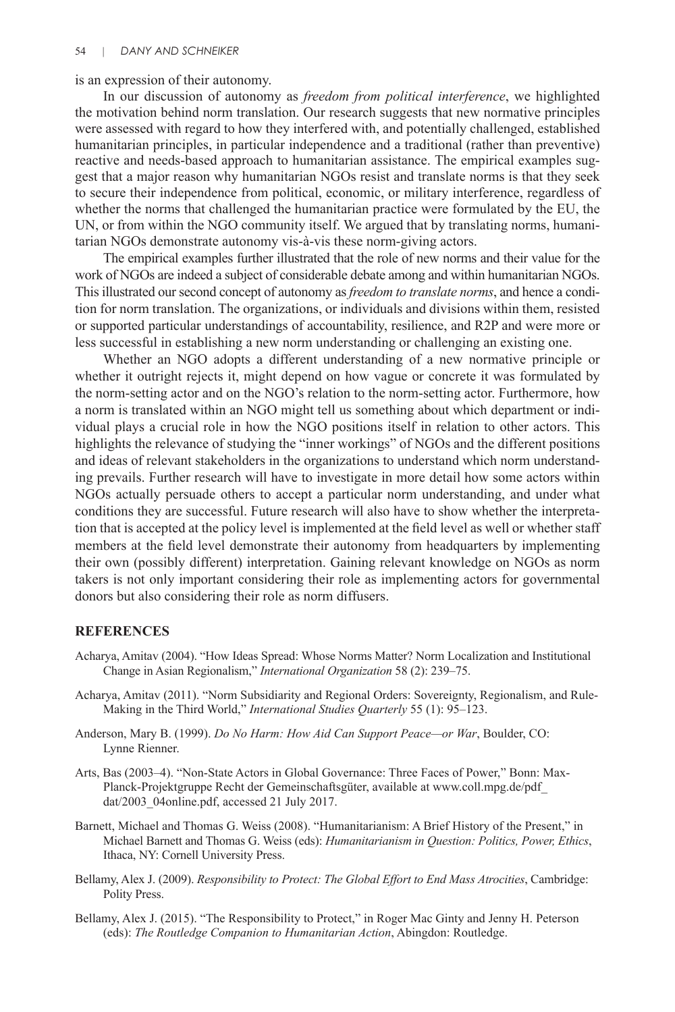is an expression of their autonomy.

In our discussion of autonomy as *freedom from political interference*, we highlighted the motivation behind norm translation. Our research suggests that new normative principles were assessed with regard to how they interfered with, and potentially challenged, established humanitarian principles, in particular independence and a traditional (rather than preventive) reactive and needs-based approach to humanitarian assistance. The empirical examples suggest that a major reason why humanitarian NGOs resist and translate norms is that they seek to secure their independence from political, economic, or military interference, regardless of whether the norms that challenged the humanitarian practice were formulated by the EU, the UN, or from within the NGO community itself. We argued that by translating norms, humanitarian NGOs demonstrate autonomy vis-à-vis these norm-giving actors.

The empirical examples further illustrated that the role of new norms and their value for the work of NGOs are indeed a subject of considerable debate among and within humanitarian NGOs. This illustrated our second concept of autonomy as *freedom to translate norms*, and hence a condition for norm translation. The organizations, or individuals and divisions within them, resisted or supported particular understandings of accountability, resilience, and R2P and were more or less successful in establishing a new norm understanding or challenging an existing one.

Whether an NGO adopts a different understanding of a new normative principle or whether it outright rejects it, might depend on how vague or concrete it was formulated by the norm-setting actor and on the NGO's relation to the norm-setting actor. Furthermore, how a norm is translated within an NGO might tell us something about which department or individual plays a crucial role in how the NGO positions itself in relation to other actors. This highlights the relevance of studying the "inner workings" of NGOs and the different positions and ideas of relevant stakeholders in the organizations to understand which norm understanding prevails. Further research will have to investigate in more detail how some actors within NGOs actually persuade others to accept a particular norm understanding, and under what conditions they are successful. Future research will also have to show whether the interpretation that is accepted at the policy level is implemented at the field level as well or whether staff members at the field level demonstrate their autonomy from headquarters by implementing their own (possibly different) interpretation. Gaining relevant knowledge on NGOs as norm takers is not only important considering their role as implementing actors for governmental donors but also considering their role as norm diffusers.

### **REFERENCES**

- Acharya, Amitav (2004). "How Ideas Spread: Whose Norms Matter? Norm Localization and Institutional Change in Asian Regionalism," *International Organization* 58 (2): 239–75.
- Acharya, Amitav (2011). "Norm Subsidiarity and Regional Orders: Sovereignty, Regionalism, and Rule-Making in the Third World," *International Studies Quarterly* 55 (1): 95–123.
- Anderson, Mary B. (1999). *Do No Harm: How Aid Can Support Peace—or War*, Boulder, CO: Lynne Rienner.
- Arts, Bas (2003–4). "Non-State Actors in Global Governance: Three Faces of Power," Bonn: Max-Planck-Projektgruppe Recht der Gemeinschaftsgüter, available at www.coll.mpg.de/pdf\_ dat/2003\_04online.pdf, accessed 21 July 2017.
- Barnett, Michael and Thomas G. Weiss (2008). "Humanitarianism: A Brief History of the Present," in Michael Barnett and Thomas G. Weiss (eds): *Humanitarianism in Question: Politics, Power, Ethics*, Ithaca, NY: Cornell University Press.
- Bellamy, Alex J. (2009). *Responsibility to Protect: The Global Effort to End Mass Atrocities*, Cambridge: Polity Press.
- Bellamy, Alex J. (2015). "The Responsibility to Protect," in Roger Mac Ginty and Jenny H. Peterson (eds): *The Routledge Companion to Humanitarian Action*, Abingdon: Routledge.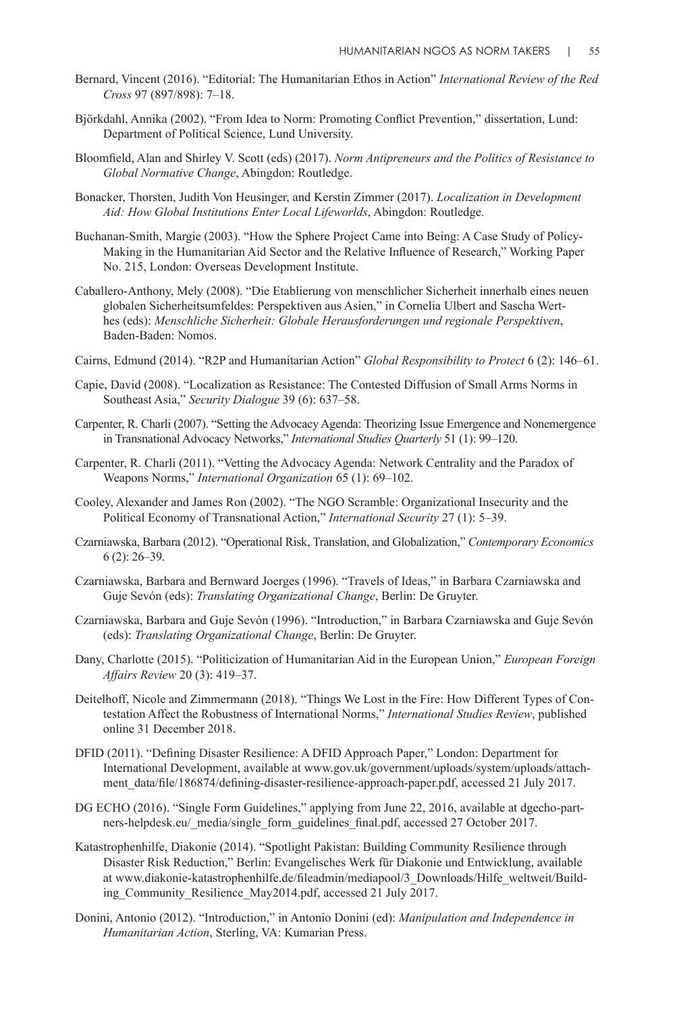- Bernard, Vincent (2016). "Editorial: The Humanitarian Ethos in Action" *International Review of the Red Cross* 97 (897/898): 7–18.
- Björkdahl, Annika (2002). "From Idea to Norm: Promoting Conflict Prevention," dissertation, Lund: Department of Political Science, Lund University.
- Bloomfield, Alan and Shirley V. Scott (eds) (2017). *Norm Antipreneurs and the Politics of Resistance to Global Normative Change*, Abingdon: Routledge.
- Bonacker, Thorsten, Judith Von Heusinger, and Kerstin Zimmer (2017). *Localization in Development Aid: How Global Institutions Enter Local Lifeworlds*, Abingdon: Routledge.
- Buchanan-Smith, Margie (2003). "How the Sphere Project Came into Being: A Case Study of Policy-Making in the Humanitarian Aid Sector and the Relative Influence of Research," Working Paper No. 215, London: Overseas Development Institute.
- Caballero-Anthony, Mely (2008). "Die Etablierung von menschlicher Sicherheit innerhalb eines neuen globalen Sicherheitsumfeldes: Perspektiven aus Asien," in Cornelia Ulbert and Sascha Werthes (eds): *Menschliche Sicherheit: Globale Herausforderungen und regionale Perspektiven*, Baden-Baden: Nomos.
- Cairns, Edmund (2014). "R2P and Humanitarian Action" *Global Responsibility to Protect* 6 (2): 146–61.
- Capie, David (2008). "Localization as Resistance: The Contested Diffusion of Small Arms Norms in Southeast Asia," *Security Dialogue* 39 (6): 637–58.
- Carpenter, R. Charli (2007). "Setting the Advocacy Agenda: Theorizing Issue Emergence and Nonemergence in Transnational Advocacy Networks," *International Studies Quarterly* 51 (1): 99–120.
- Carpenter, R. Charli (2011). "Vetting the Advocacy Agenda: Network Centrality and the Paradox of Weapons Norms," *International Organization* 65 (1): 69–102.
- Cooley, Alexander and James Ron (2002). "The NGO Scramble: Organizational Insecurity and the Political Economy of Transnational Action," *International Security* 27 (1): 5–39.
- Czarniawska, Barbara (2012). "Operational Risk, Translation, and Globalization," *Contemporary Economics* 6 (2): 26–39.
- Czarniawska, Barbara and Bernward Joerges (1996). "Travels of Ideas," in Barbara Czarniawska and Guje Sevón (eds): *Translating Organizational Change*, Berlin: De Gruyter.
- Czarniawska, Barbara and Guje Sevón (1996). "Introduction," in Barbara Czarniawska and Guje Sevón (eds): *Translating Organizational Change*, Berlin: De Gruyter.
- Dany, Charlotte (2015). "Politicization of Humanitarian Aid in the European Union," *European Foreign Affairs Review* 20 (3): 419–37.
- Deitelhoff, Nicole and Zimmermann (2018). "Things We Lost in the Fire: How Different Types of Contestation Affect the Robustness of International Norms," *International Studies Review*, published online 31 December 2018.
- DFID (2011). "Defining Disaster Resilience: A DFID Approach Paper," London: Department for International Development, available at www.gov.uk/government/uploads/system/uploads/attachment\_data/file/186874/defining-disaster-resilience-approach-paper.pdf, accessed 21 July 2017.
- DG ECHO (2016). "Single Form Guidelines," applying from June 22, 2016, available at dgecho-partners-helpdesk.eu/\_media/single\_form\_guidelines\_final.pdf, accessed 27 October 2017.
- Katastrophenhilfe, Diakonie (2014). "Spotlight Pakistan: Building Community Resilience through Disaster Risk Reduction," Berlin: Evangelisches Werk für Diakonie und Entwicklung, available at www.diakonie-katastrophenhilfe.de/fileadmin/mediapool/3\_Downloads/Hilfe\_weltweit/Building Community Resilience May2014.pdf, accessed 21 July 2017.
- Donini, Antonio (2012). "Introduction," in Antonio Donini (ed): *Manipulation and Independence in Humanitarian Action*, Sterling, VA: Kumarian Press.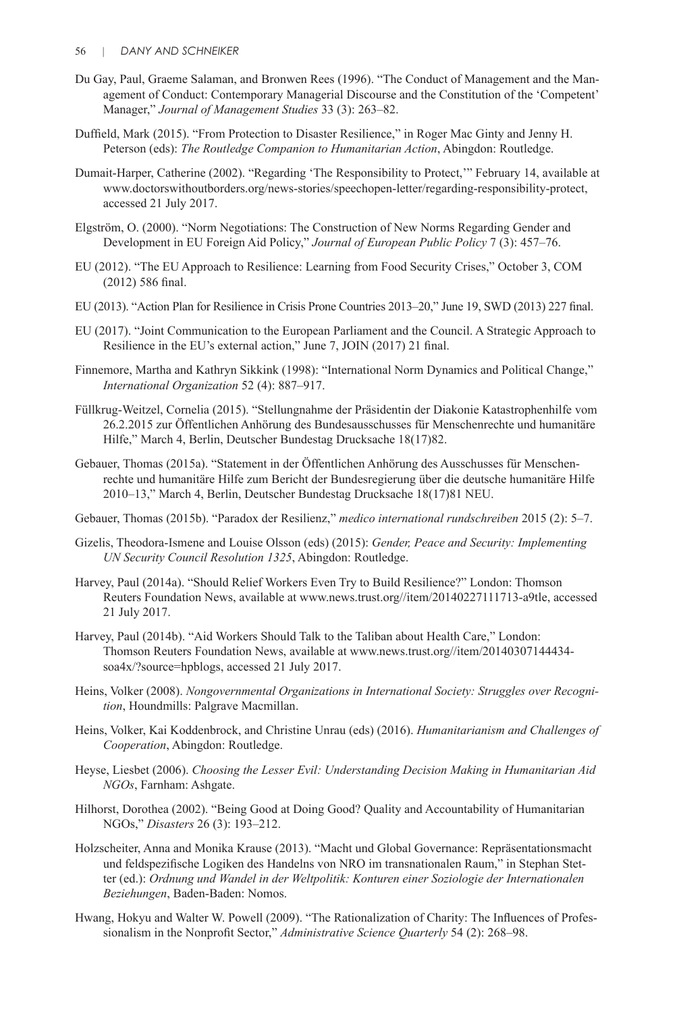- Du Gay, Paul, Graeme Salaman, and Bronwen Rees (1996). "The Conduct of Management and the Management of Conduct: Contemporary Managerial Discourse and the Constitution of the 'Competent' Manager," *Journal of Management Studies* 33 (3): 263–82.
- Duffield, Mark (2015). "From Protection to Disaster Resilience," in Roger Mac Ginty and Jenny H. Peterson (eds): *The Routledge Companion to Humanitarian Action*, Abingdon: Routledge.
- Dumait-Harper, Catherine (2002). "Regarding 'The Responsibility to Protect,'" February 14, available at www.doctorswithoutborders.org/news-stories/speechopen-letter/regarding-responsibility-protect, accessed 21 July 2017.
- Elgström, O. (2000). "Norm Negotiations: The Construction of New Norms Regarding Gender and Development in EU Foreign Aid Policy," *Journal of European Public Policy* 7 (3): 457–76.
- EU (2012). "The EU Approach to Resilience: Learning from Food Security Crises," October 3, COM (2012) 586 final.
- EU (2013). "Action Plan for Resilience in Crisis Prone Countries 2013–20," June 19, SWD (2013) 227 final.
- EU (2017). "Joint Communication to the European Parliament and the Council. A Strategic Approach to Resilience in the EU's external action," June 7, JOIN (2017) 21 final.
- Finnemore, Martha and Kathryn Sikkink (1998): "International Norm Dynamics and Political Change," *International Organization* 52 (4): 887–917.
- Füllkrug-Weitzel, Cornelia (2015). "Stellungnahme der Präsidentin der Diakonie Katastrophenhilfe vom 26.2.2015 zur Öffentlichen Anhörung des Bundesausschusses für Menschenrechte und humanitäre Hilfe," March 4, Berlin, Deutscher Bundestag Drucksache 18(17)82.
- Gebauer, Thomas (2015a). "Statement in der Öffentlichen Anhörung des Ausschusses für Menschenrechte und humanitäre Hilfe zum Bericht der Bundesregierung über die deutsche humanitäre Hilfe 2010–13," March 4, Berlin, Deutscher Bundestag Drucksache 18(17)81 NEU.
- Gebauer, Thomas (2015b). "Paradox der Resilienz," *medico international rundschreiben* 2015 (2): 5–7.
- Gizelis, Theodora-Ismene and Louise Olsson (eds) (2015): *Gender, Peace and Security: Implementing UN Security Council Resolution 1325*, Abingdon: Routledge.
- Harvey, Paul (2014a). "Should Relief Workers Even Try to Build Resilience?" London: Thomson Reuters Foundation News, available at www.news.trust.org//item/20140227111713-a9tle, accessed 21 July 2017.
- Harvey, Paul (2014b). "Aid Workers Should Talk to the Taliban about Health Care," London: Thomson Reuters Foundation News, available at www.news.trust.org//item/20140307144434 soa4x/?source=hpblogs, accessed 21 July 2017.
- Heins, Volker (2008). *Nongovernmental Organizations in International Society: Struggles over Recognition*, Houndmills: Palgrave Macmillan.
- Heins, Volker, Kai Koddenbrock, and Christine Unrau (eds) (2016). *Humanitarianism and Challenges of Cooperation*, Abingdon: Routledge.
- Heyse, Liesbet (2006). *Choosing the Lesser Evil: Understanding Decision Making in Humanitarian Aid NGOs*, Farnham: Ashgate.
- Hilhorst, Dorothea (2002). "Being Good at Doing Good? Quality and Accountability of Humanitarian NGOs," *Disasters* 26 (3): 193–212.
- Holzscheiter, Anna and Monika Krause (2013). "Macht und Global Governance: Repräsentationsmacht und feldspezifische Logiken des Handelns von NRO im transnationalen Raum," in Stephan Stetter (ed.): *Ordnung und Wandel in der Weltpolitik: Konturen einer Soziologie der Internationalen Beziehungen*, Baden-Baden: Nomos.
- Hwang, Hokyu and Walter W. Powell (2009). "The Rationalization of Charity: The Influences of Professionalism in the Nonprofit Sector," *Administrative Science Quarterly* 54 (2): 268–98.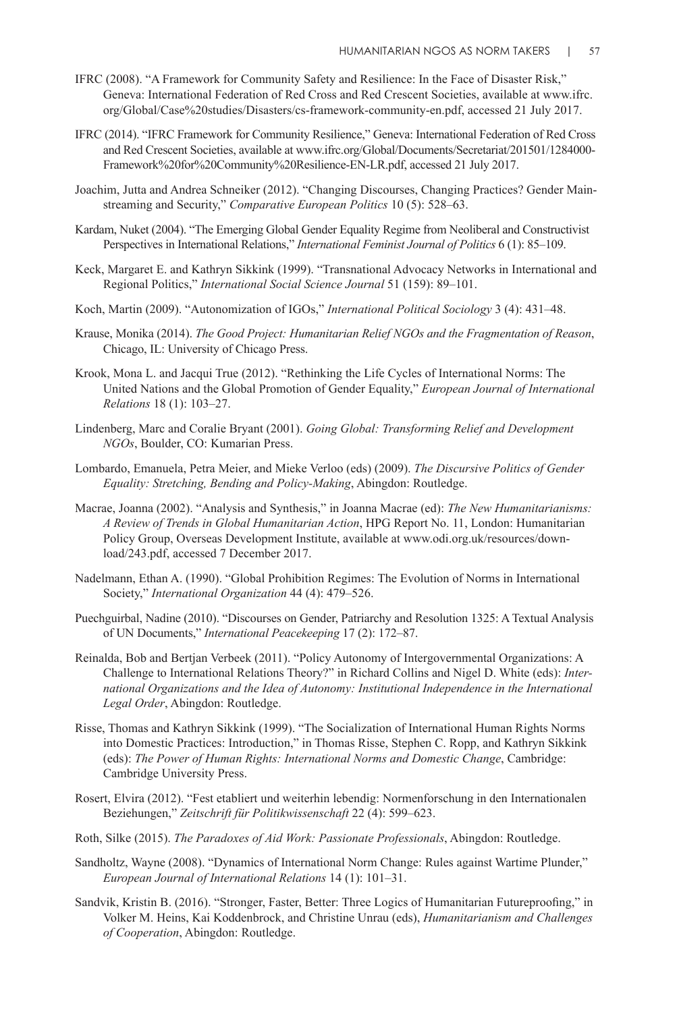- IFRC (2008). "A Framework for Community Safety and Resilience: In the Face of Disaster Risk," Geneva: International Federation of Red Cross and Red Crescent Societies, available at www.ifrc. org/Global/Case%20studies/Disasters/cs-framework-community-en.pdf, accessed 21 July 2017.
- IFRC (2014). "IFRC Framework for Community Resilience," Geneva: International Federation of Red Cross and Red Crescent Societies, available at www.ifrc.org/Global/Documents/Secretariat/201501/1284000- Framework%20for%20Community%20Resilience-EN-LR.pdf, accessed 21 July 2017.
- Joachim, Jutta and Andrea Schneiker (2012). "Changing Discourses, Changing Practices? Gender Mainstreaming and Security," *Comparative European Politics* 10 (5): 528–63.
- Kardam, Nuket (2004). "The Emerging Global Gender Equality Regime from Neoliberal and Constructivist Perspectives in International Relations," *International Feminist Journal of Politics* 6 (1): 85–109.
- Keck, Margaret E. and Kathryn Sikkink (1999). "Transnational Advocacy Networks in International and Regional Politics," *International Social Science Journal* 51 (159): 89–101.
- Koch, Martin (2009). "Autonomization of IGOs," *International Political Sociology* 3 (4): 431–48.
- Krause, Monika (2014). *The Good Project: Humanitarian Relief NGOs and the Fragmentation of Reason*, Chicago, IL: University of Chicago Press.
- Krook, Mona L. and Jacqui True (2012). "Rethinking the Life Cycles of International Norms: The United Nations and the Global Promotion of Gender Equality," *European Journal of International Relations* 18 (1): 103–27.
- Lindenberg, Marc and Coralie Bryant (2001). *Going Global: Transforming Relief and Development NGOs*, Boulder, CO: Kumarian Press.
- Lombardo, Emanuela, Petra Meier, and Mieke Verloo (eds) (2009). *The Discursive Politics of Gender Equality: Stretching, Bending and Policy-Making*, Abingdon: Routledge.
- Macrae, Joanna (2002). "Analysis and Synthesis," in Joanna Macrae (ed): *The New Humanitarianisms: A Review of Trends in Global Humanitarian Action*, HPG Report No. 11, London: Humanitarian Policy Group, Overseas Development Institute, available at www.odi.org.uk/resources/download/243.pdf, accessed 7 December 2017.
- Nadelmann, Ethan A. (1990). "Global Prohibition Regimes: The Evolution of Norms in International Society," *International Organization* 44 (4): 479–526.
- Puechguirbal, Nadine (2010). "Discourses on Gender, Patriarchy and Resolution 1325: A Textual Analysis of UN Documents," *International Peacekeeping* 17 (2): 172–87.
- Reinalda, Bob and Bertjan Verbeek (2011). "Policy Autonomy of Intergovernmental Organizations: A Challenge to International Relations Theory?" in Richard Collins and Nigel D. White (eds): *International Organizations and the Idea of Autonomy: Institutional Independence in the International Legal Order*, Abingdon: Routledge.
- Risse, Thomas and Kathryn Sikkink (1999). "The Socialization of International Human Rights Norms into Domestic Practices: Introduction," in Thomas Risse, Stephen C. Ropp, and Kathryn Sikkink (eds): *The Power of Human Rights: International Norms and Domestic Change*, Cambridge: Cambridge University Press.
- Rosert, Elvira (2012). "Fest etabliert und weiterhin lebendig: Normenforschung in den Internationalen Beziehungen," *Zeitschrift für Politikwissenschaft* 22 (4): 599–623.
- Roth, Silke (2015). *The Paradoxes of Aid Work: Passionate Professionals*, Abingdon: Routledge.
- Sandholtz, Wayne (2008). "Dynamics of International Norm Change: Rules against Wartime Plunder," *European Journal of International Relations* 14 (1): 101–31.
- Sandvik, Kristin B. (2016). "Stronger, Faster, Better: Three Logics of Humanitarian Futureproofing," in Volker M. Heins, Kai Koddenbrock, and Christine Unrau (eds), *Humanitarianism and Challenges of Cooperation*, Abingdon: Routledge.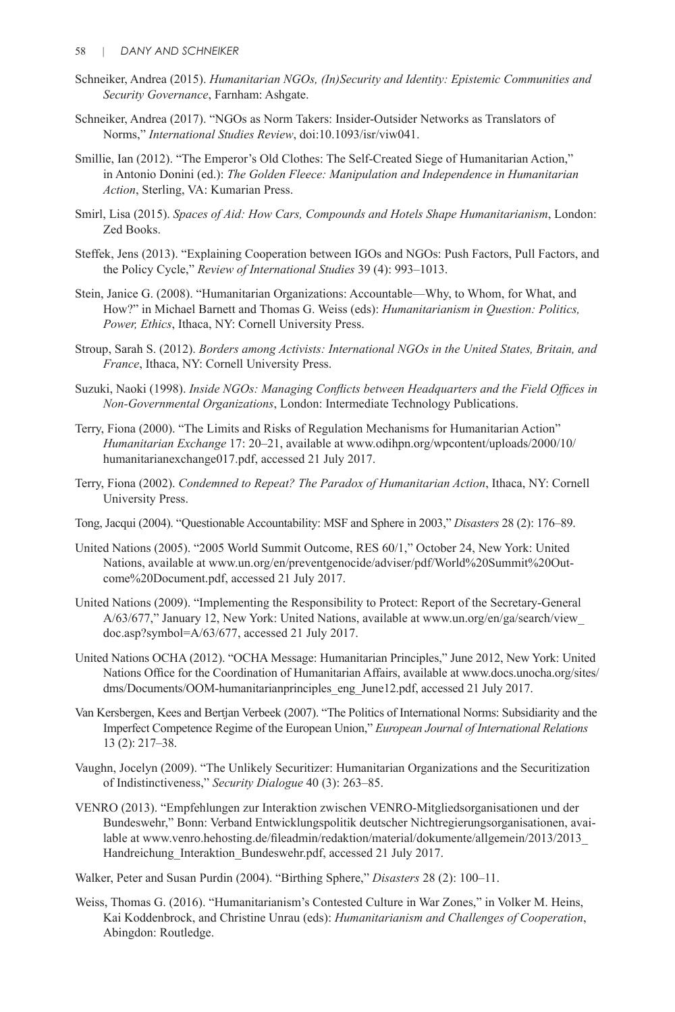- Schneiker, Andrea (2015). *Humanitarian NGOs, (In)Security and Identity: Epistemic Communities and Security Governance*, Farnham: Ashgate.
- Schneiker, Andrea (2017). "NGOs as Norm Takers: Insider-Outsider Networks as Translators of Norms," *International Studies Review*, doi:10.1093/isr/viw041.
- Smillie, Ian (2012). "The Emperor's Old Clothes: The Self-Created Siege of Humanitarian Action," in Antonio Donini (ed.): *The Golden Fleece: Manipulation and Independence in Humanitarian Action*, Sterling, VA: Kumarian Press.
- Smirl, Lisa (2015). *Spaces of Aid: How Cars, Compounds and Hotels Shape Humanitarianism*, London: Zed Books.
- Steffek, Jens (2013). "Explaining Cooperation between IGOs and NGOs: Push Factors, Pull Factors, and the Policy Cycle," *Review of International Studies* 39 (4): 993–1013.
- Stein, Janice G. (2008). "Humanitarian Organizations: Accountable—Why, to Whom, for What, and How?" in Michael Barnett and Thomas G. Weiss (eds): *Humanitarianism in Question: Politics, Power, Ethics*, Ithaca, NY: Cornell University Press.
- Stroup, Sarah S. (2012). *Borders among Activists: International NGOs in the United States, Britain, and France*, Ithaca, NY: Cornell University Press.
- Suzuki, Naoki (1998). *Inside NGOs: Managing Conflicts between Headquarters and the Field Offices in Non-Governmental Organizations*, London: Intermediate Technology Publications.
- Terry, Fiona (2000). "The Limits and Risks of Regulation Mechanisms for Humanitarian Action" *Humanitarian Exchange* 17: 20–21, available at www.odihpn.org/wpcontent/uploads/2000/10/ humanitarianexchange017.pdf, accessed 21 July 2017.
- Terry, Fiona (2002). *Condemned to Repeat? The Paradox of Humanitarian Action*, Ithaca, NY: Cornell University Press.
- Tong, Jacqui (2004). "Questionable Accountability: MSF and Sphere in 2003," *Disasters* 28 (2): 176–89.
- United Nations (2005). "2005 World Summit Outcome, RES 60/1," October 24, New York: United Nations, available at www.un.org/en/preventgenocide/adviser/pdf/World%20Summit%20Outcome%20Document.pdf, accessed 21 July 2017.
- United Nations (2009). "Implementing the Responsibility to Protect: Report of the Secretary-General A/63/677," January 12, New York: United Nations, available at www.un.org/en/ga/search/view\_ doc.asp?symbol=A/63/677, accessed 21 July 2017.
- United Nations OCHA (2012). "OCHA Message: Humanitarian Principles," June 2012, New York: United Nations Office for the Coordination of Humanitarian Affairs, available at www.docs.unocha.org/sites/ dms/Documents/OOM-humanitarianprinciples\_eng\_June12.pdf, accessed 21 July 2017.
- Van Kersbergen, Kees and Bertjan Verbeek (2007). "The Politics of International Norms: Subsidiarity and the Imperfect Competence Regime of the European Union," *European Journal of International Relations* 13 (2): 217–38.
- Vaughn, Jocelyn (2009). "The Unlikely Securitizer: Humanitarian Organizations and the Securitization of Indistinctiveness," *Security Dialogue* 40 (3): 263–85.
- VENRO (2013). "Empfehlungen zur Interaktion zwischen VENRO-Mitgliedsorganisationen und der Bundeswehr," Bonn: Verband Entwicklungspolitik deutscher Nichtregierungsorganisationen, available at www.venro.hehosting.de/fileadmin/redaktion/material/dokumente/allgemein/2013/2013\_ Handreichung\_Interaktion\_Bundeswehr.pdf, accessed 21 July 2017.
- Walker, Peter and Susan Purdin (2004). "Birthing Sphere," *Disasters* 28 (2): 100–11.
- Weiss, Thomas G. (2016). "Humanitarianism's Contested Culture in War Zones," in Volker M. Heins, Kai Koddenbrock, and Christine Unrau (eds): *Humanitarianism and Challenges of Cooperation*, Abingdon: Routledge.